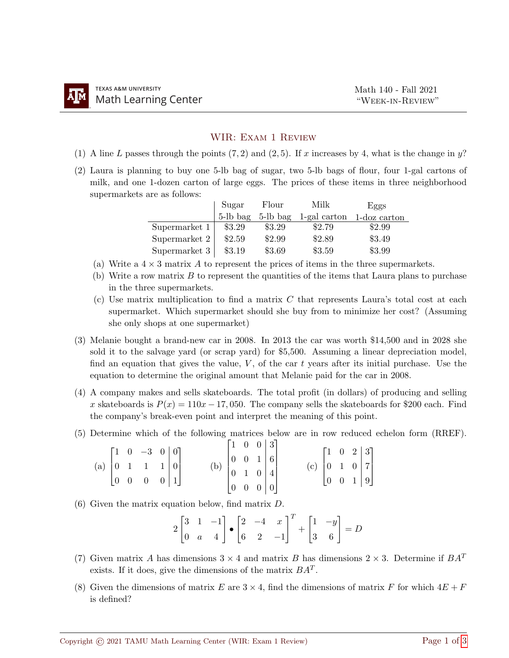## WIR: Exam 1 Review

- (1) A line L passes through the points  $(7, 2)$  and  $(2, 5)$ . If x increases by 4, what is the change in y?
- (2) Laura is planning to buy one 5-lb bag of sugar, two 5-lb bags of flour, four 1-gal cartons of milk, and one 1-dozen carton of large eggs. The prices of these items in three neighborhood supermarkets are as follows:

|               | Sugar    | Flour    | Milk         | Eggs            |  |  |
|---------------|----------|----------|--------------|-----------------|--|--|
|               | 5-lb bag | 5-lb bag | 1-gal carton | $1$ -doz carton |  |  |
| Supermarket 1 | \$3.29   | \$3.29   | \$2.79       | \$2.99          |  |  |
| Supermarket 2 | \$2.59   | \$2.99   | \$2.89       | \$3.49          |  |  |
| Supermarket 3 | \$3.19   | \$3.69   | \$3.59       | \$3.99          |  |  |

- (a) Write a  $4 \times 3$  matrix A to represent the prices of items in the three supermarkets.
- (b) Write a row matrix  $B$  to represent the quantities of the items that Laura plans to purchase in the three supermarkets.
- (c) Use matrix multiplication to find a matrix C that represents Laura's total cost at each supermarket. Which supermarket should she buy from to minimize her cost? (Assuming she only shops at one supermarket)
- (3) Melanie bought a brand-new car in 2008. In 2013 the car was worth \$14,500 and in 2028 she sold it to the salvage yard (or scrap yard) for \$5,500. Assuming a linear depreciation model, find an equation that gives the value,  $V$ , of the car t years after its initial purchase. Use the equation to determine the original amount that Melanie paid for the car in 2008.
- (4) A company makes and sells skateboards. The total profit (in dollars) of producing and selling x skateboards is  $P(x) = 110x - 17,050$ . The company sells the skateboards for \$200 each. Find the company's break-even point and interpret the meaning of this point.
- (5) Determine which of the following matrices below are in row reduced echelon form (RREF).

|  | (a) $\begin{bmatrix} 1 & 0 & -3 & 0 & 0 \\ 0 & 1 & 1 & 1 & 0 \\ 0 & 0 & 0 & 0 & 1 \end{bmatrix}$ |  |                                                                                                      |  |  | (c) $\begin{bmatrix} 1 & 0 & 2 & 3 \\ 0 & 1 & 0 & 7 \\ 0 & 0 & 1 & 9 \end{bmatrix}$ |  |  |
|--|--------------------------------------------------------------------------------------------------|--|------------------------------------------------------------------------------------------------------|--|--|-------------------------------------------------------------------------------------|--|--|
|  |                                                                                                  |  |                                                                                                      |  |  |                                                                                     |  |  |
|  |                                                                                                  |  | (b) $\begin{bmatrix} 1 & 0 & 0 & 3 \\ 0 & 0 & 1 & 6 \\ 0 & 1 & 0 & 4 \\ 0 & 0 & 0 & 0 \end{bmatrix}$ |  |  |                                                                                     |  |  |

(6) Given the matrix equation below, find matrix D.

$$
2\begin{bmatrix} 3 & 1 & -1 \\ 0 & a & 4 \end{bmatrix} \bullet \begin{bmatrix} 2 & -4 & x \\ 6 & 2 & -1 \end{bmatrix}^T + \begin{bmatrix} 1 & -y \\ 3 & 6 \end{bmatrix} = D
$$

- (7) Given matrix A has dimensions  $3 \times 4$  and matrix B has dimensions  $2 \times 3$ . Determine if  $BA^T$ exists. If it does, give the dimensions of the matrix  $BA<sup>T</sup>$ .
- (8) Given the dimensions of matrix E are  $3 \times 4$ , find the dimensions of matrix F for which  $4E + F$ is defined?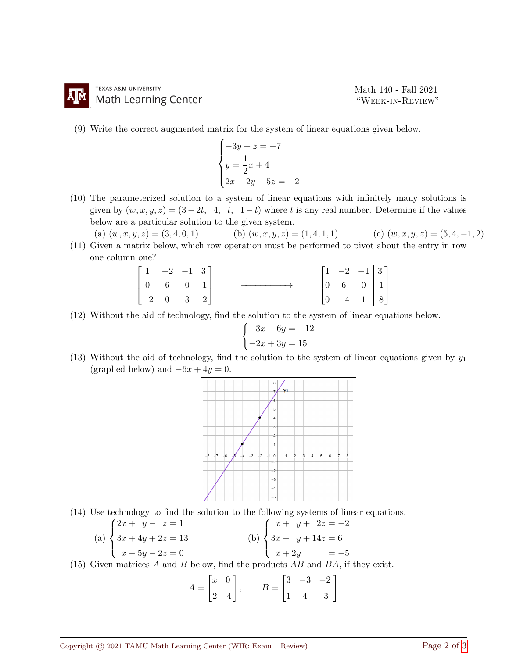(9) Write the correct augmented matrix for the system of linear equations given below.

$$
\begin{cases}\n-3y + z = -7 \\
y = \frac{1}{2}x + 4 \\
2x - 2y + 5z = -2\n\end{cases}
$$

(10) The parameterized solution to a system of linear equations with infinitely many solutions is given by  $(w, x, y, z) = (3 - 2t, 4, t, 1 - t)$  where t is any real number. Determine if the values below are a particular solution to the given system.

(a)  $(w, x, y, z) = (3, 4, 0, 1)$  (b)  $(w, x, y, z) = (1, 4, 1, 1)$  (c)  $(w, x, y, z) = (5, 4, -1, 2)$ 

(11) Given a matrix below, which row operation must be performed to pivot about the entry in row one column one?

$$
\begin{bmatrix} 1 & -2 & -1 & | & 3 \\ 0 & 6 & 0 & | & 1 \\ -2 & 0 & 3 & | & 2 \end{bmatrix} \longrightarrow \begin{bmatrix} 1 & -2 & -1 & | & 3 \\ 0 & 6 & 0 & | & 1 \\ 0 & -4 & 1 & | & 8 \end{bmatrix}
$$

(12) Without the aid of technology, find the solution to the system of linear equations below.

$$
\begin{cases}\n-3x - 6y = -12 \\
-2x + 3y = 15\n\end{cases}
$$

(13) Without the aid of technology, find the solution to the system of linear equations given by  $y_1$ (graphed below) and  $-6x + 4y = 0$ .



(14) Use technology to find the solution to the following systems of linear equations.

(a) 
$$
\begin{cases} 2x + y - z = 1 \\ 3x + 4y + 2z = 13 \\ x - 5y - 2z = 0 \end{cases}
$$
 (b) 
$$
\begin{cases} x + y + 2z = -2 \\ 3x - y + 14z = 6 \\ x + 2y = -5 \end{cases}
$$

(15) Given matrices A and B below, find the products  $AB$  and  $BA$ , if they exist.

$$
A = \begin{bmatrix} x & 0 \\ 2 & 4 \end{bmatrix}, \qquad B = \begin{bmatrix} 3 & -3 & -2 \\ 1 & 4 & 3 \end{bmatrix}
$$